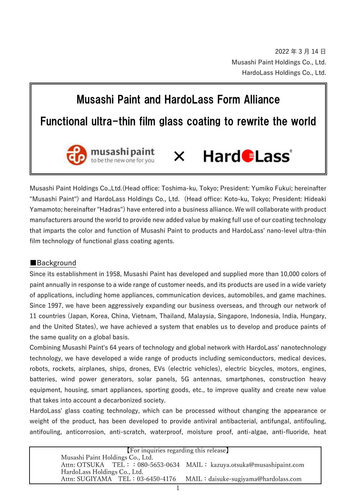# Musashi Paint and HardoLass Form Alliance

## Functional ultra-thin film glass coating to rewrite the world



#### Hard *ELass*<sup>®</sup> ×

Musashi Paint Holdings Co.,Ltd.(Head office: Toshima-ku, Tokyo; President: Yumiko Fukui; hereinafter "Musashi Paint") and HardoLass Holdings Co., Ltd. (Head office: Koto-ku, Tokyo; President: Hideaki Yamamoto; hereinafter "Hadras") have entered into a business alliance. We will collaborate with product manufacturers around the world to provide new added value by making full use of our coating technology that imparts the color and function of Musashi Paint to products and HardoLass' nano-level ultra-thin film technology of functional glass coating agents.

#### ■Background

Since its establishment in 1958, Musashi Paint has developed and supplied more than 10,000 colors of paint annually in response to a wide range of customer needs, and its products are used in a wide variety of applications, including home appliances, communication devices, automobiles, and game machines. Since 1997, we have been aggressively expanding our business overseas, and through our network of 11 countries (Japan, Korea, China, Vietnam, Thailand, Malaysia, Singapore, Indonesia, India, Hungary, and the United States), we have achieved a system that enables us to develop and produce paints of the same quality on a global basis.

Combining Musashi Paint's 64 years of technology and global network with HardoLass' nanotechnology technology, we have developed a wide range of products including semiconductors, medical devices, robots, rockets, airplanes, ships, drones, EVs (electric vehicles), electric bicycles, motors, engines, batteries, wind power generators, solar panels, 5G antennas, smartphones, construction heavy equipment, housing, smart appliances, sporting goods, etc., to improve quality and create new value that takes into account a decarbonized society.

HardoLass' glass coating technology, which can be processed without changing the appearance or weight of the product, has been developed to provide antiviral antibacterial, antifungal, antifouling, antifouling, anticorrosion, anti-scratch, waterproof, moisture proof, anti-algae, anti-fluoride, heat

| [For inquiries regarding this release] |  |                                                                        |
|----------------------------------------|--|------------------------------------------------------------------------|
| Musashi Paint Holdings Co., Ltd.       |  |                                                                        |
|                                        |  | Attn: OTSUKA TEL: : 080-5653-0634 MAIL: kazuya.otsuka@musashipaint.com |
| HardoLass Holdings Co., Ltd.           |  |                                                                        |
|                                        |  | Attn: SUGIYAMA TEL: 03-6450-4176 MAIL: daisuke-sugiyama@hardolass.com  |
|                                        |  |                                                                        |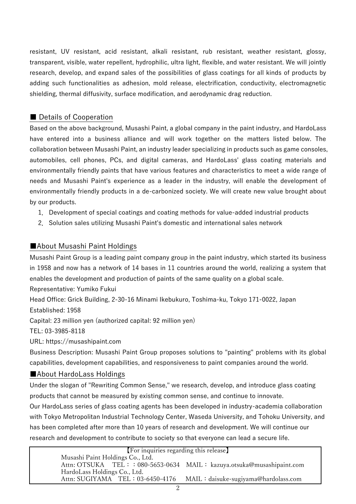resistant, UV resistant, acid resistant, alkali resistant, rub resistant, weather resistant, glossy, transparent, visible, water repellent, hydrophilic, ultra light, flexible, and water resistant. We will jointly research, develop, and expand sales of the possibilities of glass coatings for all kinds of products by adding such functionalities as adhesion, mold release, electrification, conductivity, electromagnetic shielding, thermal diffusivity, surface modification, and aerodynamic drag reduction.

#### ■ Details of Cooperation

Based on the above background, Musashi Paint, a global company in the paint industry, and HardoLass have entered into a business alliance and will work together on the matters listed below. The collaboration between Musashi Paint, an industry leader specializing in products such as game consoles, automobiles, cell phones, PCs, and digital cameras, and HardoLass' glass coating materials and environmentally friendly paints that have various features and characteristics to meet a wide range of needs and Musashi Paint's experience as a leader in the industry, will enable the development of environmentally friendly products in a de-carbonized society. We will create new value brought about by our products.

- 1.Development of special coatings and coating methods for value-added industrial products
- 2.Solution sales utilizing Musashi Paint's domestic and international sales network

#### ■About Musashi Paint Holdings

Musashi Paint Group is a leading paint company group in the paint industry, which started its business in 1958 and now has a network of 14 bases in 11 countries around the world, realizing a system that enables the development and production of paints of the same quality on a global scale.

Representative: Yumiko Fukui

Head Office: Grick Building, 2-30-16 Minami Ikebukuro, Toshima-ku, Tokyo 171-0022, Japan Established: 1958

Capital: 23 million yen (authorized capital: 92 million yen)

TEL: 03-3985-8118

URL: https://musashipaint.com

Business Description: Musashi Paint Group proposes solutions to "painting" problems with its global capabilities, development capabilities, and responsiveness to paint companies around the world.

### ■About HardoLass Holdings

Under the slogan of "Rewriting Common Sense," we research, develop, and introduce glass coating products that cannot be measured by existing common sense, and continue to innovate.

Our HardoLass series of glass coating agents has been developed in industry-academia collaboration with Tokyo Metropolitan Industrial Technology Center, Waseda University, and Tohoku University, and has been completed after more than 10 years of research and development. We will continue our research and development to contribute to society so that everyone can lead a secure life.

| [For inquiries regarding this release]                                |                                                                        |  |
|-----------------------------------------------------------------------|------------------------------------------------------------------------|--|
| Musashi Paint Holdings Co., Ltd.                                      |                                                                        |  |
|                                                                       | Attn: OTSUKA TEL: : 080-5653-0634 MAIL: kazuya.otsuka@musashipaint.com |  |
| HardoLass Holdings Co., Ltd.                                          |                                                                        |  |
| Attn: SUGIYAMA TEL: 03-6450-4176 MAIL: daisuke-sugiyama@hardolass.com |                                                                        |  |